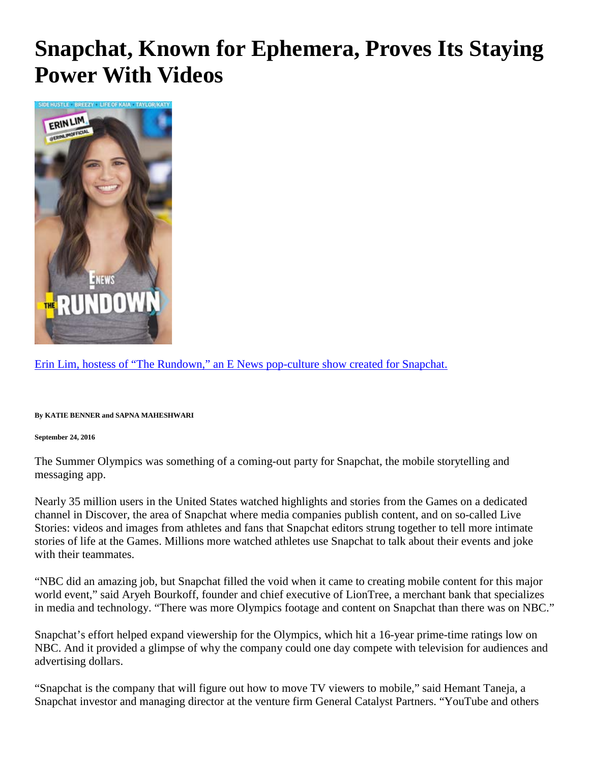## **Snapchat, Known for Ephemera, Proves Its Staying Power With Video[s](http://mobile.nytimes.com/2016/09/26/business/snapchat-known-for-ephemera-proves-its-staying-power-with-videos.html#modal-lightbox)**



[Erin Lim, hostess of "The Rundown," an E News pop-culture show created for Snapchat.](http://mobile.nytimes.com/2016/09/26/business/snapchat-known-for-ephemera-proves-its-staying-power-with-videos.html#modal-lightbox)

**By KATIE BENNER and SAPNA MAHESHWARI**

**September 24, 2016**

The Summer Olympics was something of a coming-out party for Snapchat, the mobile storytelling and messaging app.

Nearly 35 million users in the United States watched highlights and stories from the Games on a dedicated channel in Discover, the area of Snapchat where media companies publish content, and on so-called Live Stories: videos and images from athletes and fans that Snapchat editors strung together to tell more intimate stories of life at the Games. Millions more watched athletes use Snapchat to talk about their events and joke with their teammates.

"NBC did an amazing job, but Snapchat filled the void when it came to creating mobile content for this major world event," said Aryeh Bourkoff, founder and chief executive of LionTree, a merchant bank that specializes in media and technology. "There was more Olympics footage and content on Snapchat than there was on NBC."

Snapchat's effort helped expand viewership for the Olympics, which hit a 16-year prime-time ratings low on NBC. And it provided a glimpse of why the company could one day compete with television for audiences and advertising dollars.

"Snapchat is the company that will figure out how to move TV viewers to mobile," said Hemant Taneja, a Snapchat investor and managing director at the venture firm General Catalyst Partners. "YouTube and others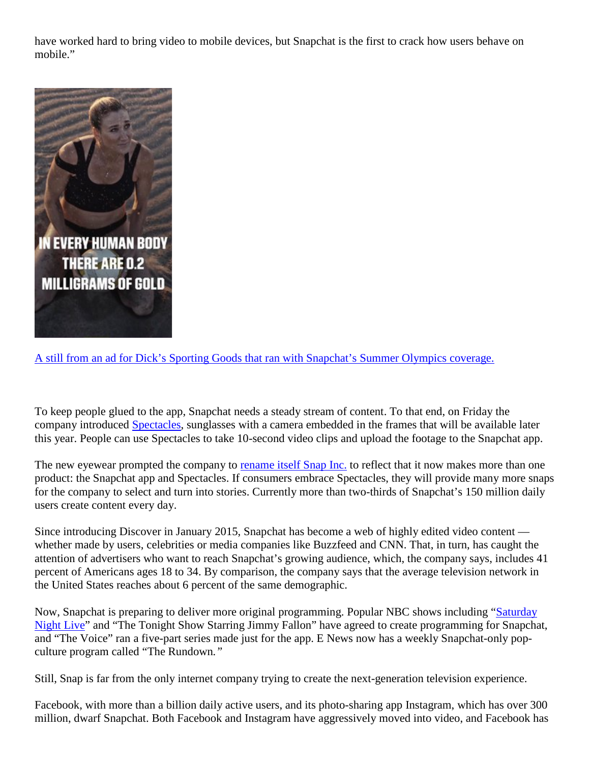have worked hard to bring video to mobile devices, but Snapchat is the first to crack how users behave on mobile."



[A still from an ad for Dick's Sporting Goods that ran with Snapchat's Summer Olympics coverage.](http://mobile.nytimes.com/2016/09/26/business/snapchat-known-for-ephemera-proves-its-staying-power-with-videos.html#modal-lightbox)

To keep people glued to the app, Snapchat needs a steady stream of content. To that end, on Friday the company introduced [Spectacles,](https://youtu.be/XqkOFLBSJR8) sunglasses with a camera embedded in the frames that will be available later this year. People can use Spectacles to take 10-second video clips and upload the footage to the Snapchat app.

The new eyewear prompted the company to [rename itself Snap](https://snap.com/news/) [Inc.](https://snap.com/news/) to reflect that it now makes more than one product: the Snapchat app and Spectacles. If consumers embrace Spectacles, they will provide many more snaps for the company to select and turn into stories. Currently more than two-thirds of Snapchat's 150 million daily users create content every day.

Since introducing Discover in January 2015, Snapchat has become a web of highly edited video content whether made by users, celebrities or media companies like Buzzfeed and CNN. That, in turn, has caught the attention of advertisers who want to reach Snapchat's growing audience, which, the company says, includes 41 percent of Americans ages 18 to 34. By comparison, the company says that the average television network in the United States reaches about 6 percent of the same demographic.

Now, Snapchat is preparing to deliver more original programming. Popular NBC shows including ["Saturday](http://topics.nytimes.com/top/reference/timestopics/subjects/s/saturday_night_live/index.html?inline=nyt-classifier)  [Night Live"](http://topics.nytimes.com/top/reference/timestopics/subjects/s/saturday_night_live/index.html?inline=nyt-classifier) and "The Tonight Show Starring Jimmy Fallon" have agreed to create programming for Snapchat, and "The Voice" ran a five-part series made just for the app. E News now has a weekly Snapchat-only popculture program called "The Rundown*."* 

Still, Snap is far from the only internet company trying to create the next-generation television experience.

Facebook, with more than a billion daily active users, and its photo-sharing app Instagram, which has over 300 million, dwarf Snapchat. Both Facebook and Instagram have aggressively moved into video, and Facebook has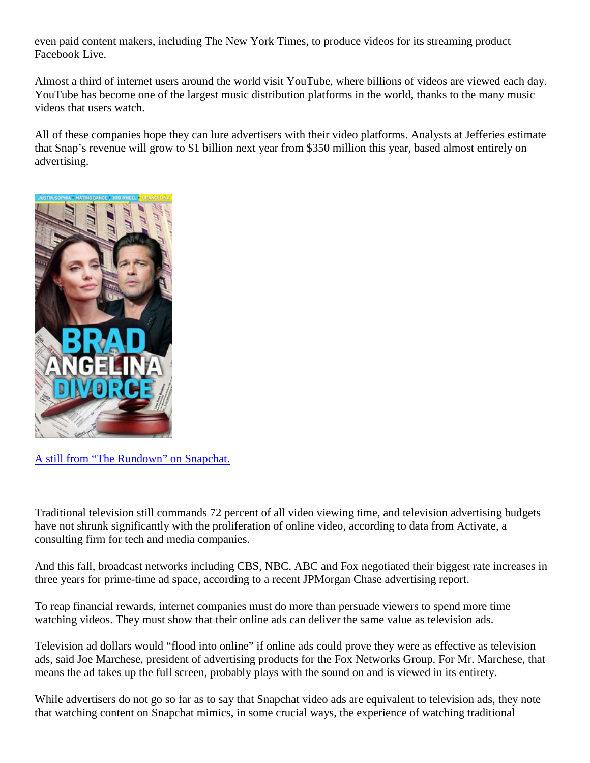even paid content makers, including The New York Times, to produce videos for its streaming product Facebook Live.

Almost a third of internet users around the world visit YouTube, where billions of videos are viewed each day. YouTube has become one of the largest music distribution platforms in the world, thanks to the many music videos that users watch.

All of these companies hope they can lure advertisers with their video platforms. Analysts at Jefferies estimate that Snap's revenue will grow to \$1 billion next year from \$350 million this year, based almost entirely on advertising.



[A still from "The Rundown" on Snapchat.](http://mobile.nytimes.com/2016/09/26/business/snapchat-known-for-ephemera-proves-its-staying-power-with-videos.html#modal-lightbox)

Traditional television still commands 72 percent of all video viewing time, and television advertising budgets have not shrunk significantly with the proliferation of online video, according to data from Activate, a consulting firm for tech and media companies.

And this fall, broadcast networks including CBS, NBC, ABC and Fox negotiated their biggest rate increases in three years for prime-time ad space, according to a recent JPMorgan Chase advertising report.

To reap financial rewards, internet companies must do more than persuade viewers to spend more time watching videos. They must show that their online ads can deliver the same value as television ads.

Television ad dollars would "flood into online" if online ads could prove they were as effective as television ads, said Joe Marchese, president of advertising products for the Fox Networks Group. For Mr. Marchese, that means the ad takes up the full screen, probably plays with the sound on and is viewed in its entirety.

While advertisers do not go so far as to say that Snapchat video ads are equivalent to television ads, they note that watching content on Snapchat mimics, in some crucial ways, the experience of watching traditional